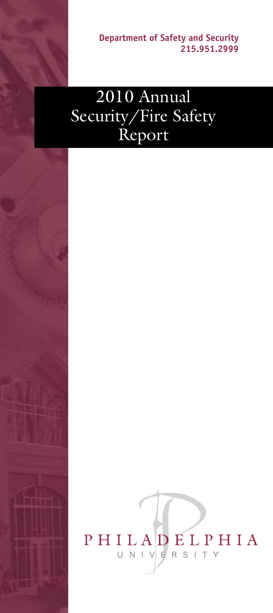**Department of Safety and Security 215.951.2999**

## 2010 Annual Security/Fire Safety Report

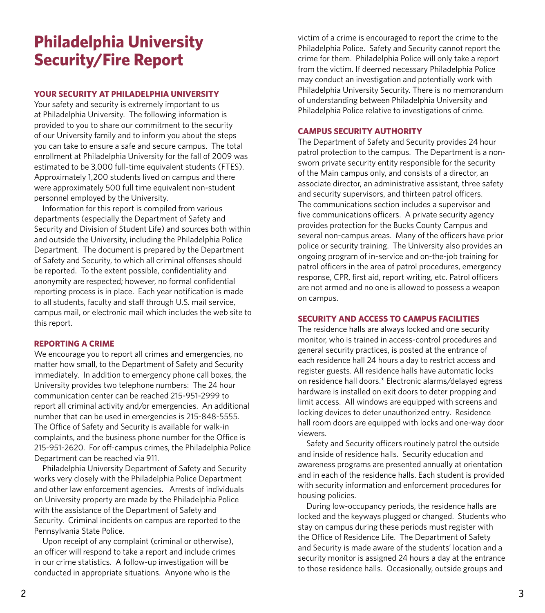## **Philadelphia University Security/Fire Report**

#### **YOUR SECURITY AT PHILADELPHIA UNIVERSITY**

Your safety and security is extremely important to us at Philadelphia University. The following information is provided to you to share our commitment to the security of our University family and to inform you about the steps you can take to ensure a safe and secure campus. The total enrollment at Philadelphia University for the fall of 2009 was estimated to be 3,000 full-time equivalent students (FTES). Approximately 1,200 students lived on campus and there were approximately 500 full time equivalent non-student personnel employed by the University.

Information for this report is compiled from various departments (especially the Department of Safety and Security and Division of Student Life) and sources both within and outside the University, including the Philadelphia Police Department. The document is prepared by the Department of Safety and Security, to which all criminal offenses should be reported. To the extent possible, confidentiality and anonymity are respected; however, no formal confidential reporting process is in place. Each year notification is made to all students, faculty and staff through U.S. mail service, campus mail, or electronic mail which includes the web site to this report.

#### **REPORTING A CRIME**

We encourage you to report all crimes and emergencies, no matter how small, to the Department of Safety and Security immediately. In addition to emergency phone call boxes, the University provides two telephone numbers: The 24 hour communication center can be reached 215-951-2999 to report all criminal activity and/or emergencies. An additional number that can be used in emergencies is 215-848-5555. The Office of Safety and Security is available for walk-in complaints, and the business phone number for the Office is 215-951-2620. For off-campus crimes, the Philadelphia Police Department can be reached via 911.

Philadelphia University Department of Safety and Security works very closely with the Philadelphia Police Department and other law enforcement agencies. Arrests of individuals on University property are made by the Philadelphia Police with the assistance of the Department of Safety and Security. Criminal incidents on campus are reported to the Pennsylvania State Police.

Upon receipt of any complaint (criminal or otherwise), an officer will respond to take a report and include crimes in our crime statistics. A follow-up investigation will be conducted in appropriate situations. Anyone who is the

victim of a crime is encouraged to report the crime to the Philadelphia Police. Safety and Security cannot report the crime for them. Philadelphia Police will only take a report from the victim. If deemed necessary Philadelphia Police may conduct an investigation and potentially work with Philadelphia University Security. There is no memorandum of understanding between Philadelphia University and Philadelphia Police relative to investigations of crime.

#### **CAMPUS SECURITY AUTHORITY**

The Department of Safety and Security provides 24 hour patrol protection to the campus. The Department is a nonsworn private security entity responsible for the security of the Main campus only, and consists of a director, an associate director, an administrative assistant, three safety and security supervisors, and thirteen patrol officers. The communications section includes a supervisor and five communications officers. A private security agency provides protection for the Bucks County Campus and several non-campus areas. Many of the officers have prior police or security training. The University also provides an ongoing program of in-service and on-the-job training for patrol officers in the area of patrol procedures, emergency response, CPR, first aid, report writing, etc. Patrol officers are not armed and no one is allowed to possess a weapon on campus.

#### **SECURITY AND ACCESS TO CAMPUS FACILITIES**

The residence halls are always locked and one security monitor, who is trained in access-control procedures and general security practices, is posted at the entrance of each residence hall 24 hours a day to restrict access and register guests. All residence halls have automatic locks on residence hall doors.\* Electronic alarms/delayed egress hardware is installed on exit doors to deter propping and limit access. All windows are equipped with screens and locking devices to deter unauthorized entry. Residence hall room doors are equipped with locks and one-way door viewers.

Safety and Security officers routinely patrol the outside and inside of residence halls. Security education and awareness programs are presented annually at orientation and in each of the residence halls. Each student is provided with security information and enforcement procedures for housing policies.

During low-occupancy periods, the residence halls are locked and the keyways plugged or changed. Students who stay on campus during these periods must register with the Office of Residence Life. The Department of Safety and Security is made aware of the students' location and a security monitor is assigned 24 hours a day at the entrance to those residence halls. Occasionally, outside groups and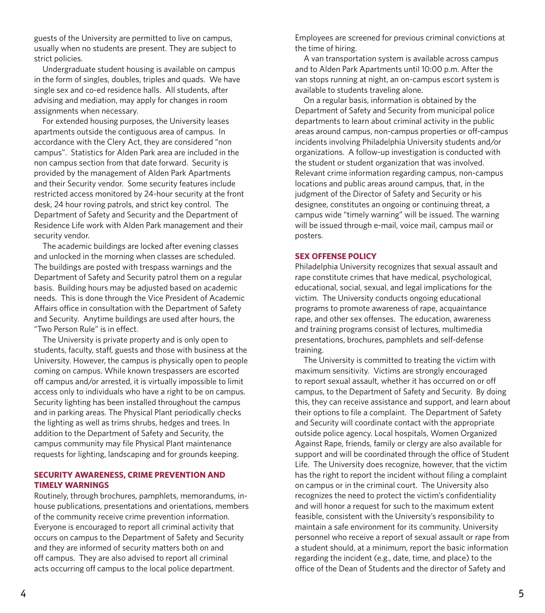guests of the University are permitted to live on campus, usually when no students are present. They are subject to strict policies.

Undergraduate student housing is available on campus in the form of singles, doubles, triples and quads. We have single sex and co-ed residence halls. All students, after advising and mediation, may apply for changes in room assignments when necessary.

For extended housing purposes, the University leases apartments outside the contiguous area of campus. In accordance with the Clery Act, they are considered "non campus". Statistics for Alden Park area are included in the non campus section from that date forward. Security is provided by the management of Alden Park Apartments and their Security vendor. Some security features include restricted access monitored by 24-hour security at the front desk, 24 hour roving patrols, and strict key control. The Department of Safety and Security and the Department of Residence Life work with Alden Park management and their security vendor.

The academic buildings are locked after evening classes and unlocked in the morning when classes are scheduled. The buildings are posted with trespass warnings and the Department of Safety and Security patrol them on a regular basis. Building hours may be adjusted based on academic needs. This is done through the Vice President of Academic Affairs office in consultation with the Department of Safety and Security. Anytime buildings are used after hours, the "Two Person Rule" is in effect.

The University is private property and is only open to students, faculty, staff, guests and those with business at the University. However, the campus is physically open to people coming on campus. While known trespassers are escorted off campus and/or arrested, it is virtually impossible to limit access only to individuals who have a right to be on campus. Security lighting has been installed throughout the campus and in parking areas. The Physical Plant periodically checks the lighting as well as trims shrubs, hedges and trees. In addition to the Department of Safety and Security, the campus community may file Physical Plant maintenance requests for lighting, landscaping and for grounds keeping.

#### **SECURITY AWARENESS, CRIME PREVENTION AND TIMELY WARNINGS**

Routinely, through brochures, pamphlets, memorandums, inhouse publications, presentations and orientations, members of the community receive crime prevention information. Everyone is encouraged to report all criminal activity that occurs on campus to the Department of Safety and Security and they are informed of security matters both on and off campus. They are also advised to report all criminal acts occurring off campus to the local police department.

Employees are screened for previous criminal convictions at the time of hiring.

A van transportation system is available across campus and to Alden Park Apartments until 10:00 p.m. After the van stops running at night, an on-campus escort system is available to students traveling alone.

On a regular basis, information is obtained by the Department of Safety and Security from municipal police departments to learn about criminal activity in the public areas around campus, non-campus properties or off-campus incidents involving Philadelphia University students and/or organizations. A follow-up investigation is conducted with the student or student organization that was involved. Relevant crime information regarding campus, non-campus locations and public areas around campus, that, in the judgment of the Director of Safety and Security or his designee, constitutes an ongoing or continuing threat, a campus wide "timely warning" will be issued. The warning will be issued through e-mail, voice mail, campus mail or posters.

#### **SEX OFFENSE POLICY**

Philadelphia University recognizes that sexual assault and rape constitute crimes that have medical, psychological, educational, social, sexual, and legal implications for the victim. The University conducts ongoing educational programs to promote awareness of rape, acquaintance rape, and other sex offenses. The education, awareness and training programs consist of lectures, multimedia presentations, brochures, pamphlets and self-defense training.

The University is committed to treating the victim with maximum sensitivity. Victims are strongly encouraged to report sexual assault, whether it has occurred on or off campus, to the Department of Safety and Security. By doing this, they can receive assistance and support, and learn about their options to file a complaint. The Department of Safety and Security will coordinate contact with the appropriate outside police agency. Local hospitals, Women Organized Against Rape, friends, family or clergy are also available for support and will be coordinated through the office of Student Life. The University does recognize, however, that the victim has the right to report the incident without filing a complaint on campus or in the criminal court. The University also recognizes the need to protect the victim's confidentiality and will honor a request for such to the maximum extent feasible, consistent with the University's responsibility to maintain a safe environment for its community. University personnel who receive a report of sexual assault or rape from a student should, at a minimum, report the basic information regarding the incident (e.g., date, time, and place) to the office of the Dean of Students and the director of Safety and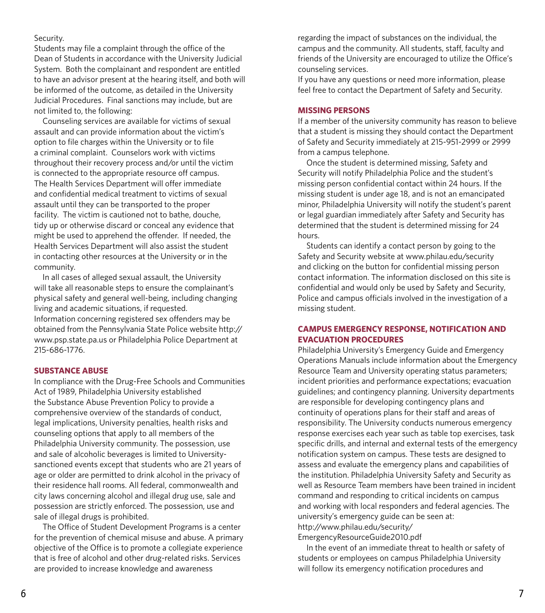#### Security.

Students may file a complaint through the office of the Dean of Students in accordance with the University Judicial System. Both the complainant and respondent are entitled to have an advisor present at the hearing itself, and both will be informed of the outcome, as detailed in the University Judicial Procedures. Final sanctions may include, but are not limited to, the following:

Counseling services are available for victims of sexual assault and can provide information about the victim's option to file charges within the University or to file a criminal complaint. Counselors work with victims throughout their recovery process and/or until the victim is connected to the appropriate resource off campus. The Health Services Department will offer immediate and confidential medical treatment to victims of sexual assault until they can be transported to the proper facility. The victim is cautioned not to bathe, douche, tidy up or otherwise discard or conceal any evidence that might be used to apprehend the offender. If needed, the Health Services Department will also assist the student in contacting other resources at the University or in the community.

In all cases of alleged sexual assault, the University will take all reasonable steps to ensure the complainant's physical safety and general well-being, including changing living and academic situations, if requested. Information concerning registered sex offenders may be obtained from the Pennsylvania State Police website http:// www.psp.state.pa.us or Philadelphia Police Department at 215-686-1776.

#### **SUBSTANCE ABUSE**

In compliance with the Drug-Free Schools and Communities Act of 1989, Philadelphia University established the Substance Abuse Prevention Policy to provide a comprehensive overview of the standards of conduct, legal implications, University penalties, health risks and counseling options that apply to all members of the Philadelphia University community. The possession, use and sale of alcoholic beverages is limited to Universitysanctioned events except that students who are 21 years of age or older are permitted to drink alcohol in the privacy of their residence hall rooms. All federal, commonwealth and city laws concerning alcohol and illegal drug use, sale and possession are strictly enforced. The possession, use and sale of illegal drugs is prohibited.

The Office of Student Development Programs is a center for the prevention of chemical misuse and abuse. A primary objective of the Office is to promote a collegiate experience that is free of alcohol and other drug-related risks. Services are provided to increase knowledge and awareness

regarding the impact of substances on the individual, the campus and the community. All students, staff, faculty and friends of the University are encouraged to utilize the Office's counseling services.

If you have any questions or need more information, please feel free to contact the Department of Safety and Security.

#### **MISSING PERSONS**

If a member of the university community has reason to believe that a student is missing they should contact the Department of Safety and Security immediately at 215-951-2999 or 2999 from a campus telephone.

Once the student is determined missing, Safety and Security will notify Philadelphia Police and the student's missing person confidential contact within 24 hours. If the missing student is under age 18, and is not an emancipated minor, Philadelphia University will notify the student's parent or legal guardian immediately after Safety and Security has determined that the student is determined missing for 24 hours.

Students can identify a contact person by going to the Safety and Security website at www.philau.edu/security and clicking on the button for confidential missing person contact information. The information disclosed on this site is confidential and would only be used by Safety and Security, Police and campus officials involved in the investigation of a missing student.

#### **CAMPUS EMERGENCY RESPONSE, NOTIFICATION AND EVACUATION PROCEDURES**

Philadelphia University's Emergency Guide and Emergency Operations Manuals include information about the Emergency Resource Team and University operating status parameters; incident priorities and performance expectations; evacuation guidelines; and contingency planning. University departments are responsible for developing contingency plans and continuity of operations plans for their staff and areas of responsibility. The University conducts numerous emergency response exercises each year such as table top exercises, task specific drills, and internal and external tests of the emergency notification system on campus. These tests are designed to assess and evaluate the emergency plans and capabilities of the institution. Philadelphia University Safety and Security as well as Resource Team members have been trained in incident command and responding to critical incidents on campus and working with local responders and federal agencies. The university's emergency guide can be seen at: http://www.philau.edu/security/

EmergencyResourceGuide2010.pdf

In the event of an immediate threat to health or safety of students or employees on campus Philadelphia University will follow its emergency notification procedures and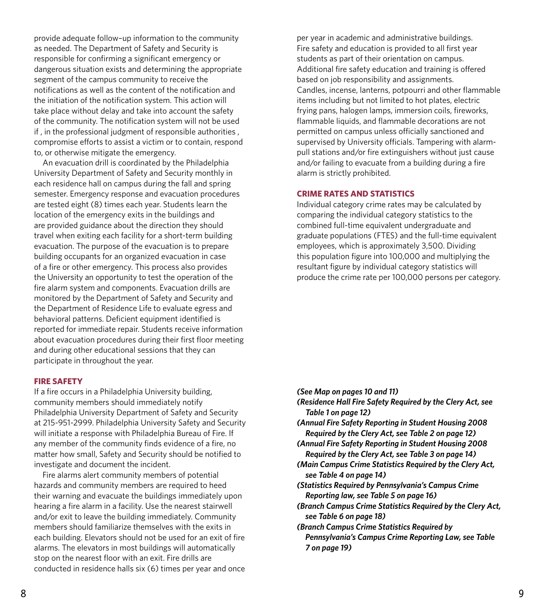provide adequate follow–up information to the community as needed. The Department of Safety and Security is responsible for confirming a significant emergency or dangerous situation exists and determining the appropriate segment of the campus community to receive the notifications as well as the content of the notification and the initiation of the notification system. This action will take place without delay and take into account the safety of the community. The notification system will not be used if , in the professional judgment of responsible authorities , compromise efforts to assist a victim or to contain, respond to, or otherwise mitigate the emergency.

An evacuation drill is coordinated by the Philadelphia University Department of Safety and Security monthly in each residence hall on campus during the fall and spring semester. Emergency response and evacuation procedures are tested eight (8) times each year. Students learn the location of the emergency exits in the buildings and are provided guidance about the direction they should travel when exiting each facility for a short-term building evacuation. The purpose of the evacuation is to prepare building occupants for an organized evacuation in case of a fire or other emergency. This process also provides the University an opportunity to test the operation of the fire alarm system and components. Evacuation drills are monitored by the Department of Safety and Security and the Department of Residence Life to evaluate egress and behavioral patterns. Deficient equipment identified is reported for immediate repair. Students receive information about evacuation procedures during their first floor meeting and during other educational sessions that they can participate in throughout the year.

#### **FIRE SAFETY**

If a fire occurs in a Philadelphia University building, community members should immediately notify Philadelphia University Department of Safety and Security at 215-951-2999. Philadelphia University Safety and Security will initiate a response with Philadelphia Bureau of Fire. If any member of the community finds evidence of a fire, no matter how small, Safety and Security should be notified to investigate and document the incident.

Fire alarms alert community members of potential hazards and community members are required to heed their warning and evacuate the buildings immediately upon hearing a fire alarm in a facility. Use the nearest stairwell and/or exit to leave the building immediately. Community members should familiarize themselves with the exits in each building. Elevators should not be used for an exit of fire alarms. The elevators in most buildings will automatically stop on the nearest floor with an exit. Fire drills are conducted in residence halls six (6) times per year and once

per year in academic and administrative buildings. Fire safety and education is provided to all first year students as part of their orientation on campus. Additional fire safety education and training is offered based on job responsibility and assignments. Candles, incense, lanterns, potpourri and other flammable items including but not limited to hot plates, electric frying pans, halogen lamps, immersion coils, fireworks, flammable liquids, and flammable decorations are not permitted on campus unless officially sanctioned and supervised by University officials. Tampering with alarmpull stations and/or fire extinguishers without just cause and/or failing to evacuate from a building during a fire alarm is strictly prohibited.

#### **CRIME RATES AND STATISTICS**

Individual category crime rates may be calculated by comparing the individual category statistics to the combined full-time equivalent undergraduate and graduate populations (FTES) and the full-time equivalent employees, which is approximately 3,500. Dividing this population figure into 100,000 and multiplying the resultant figure by individual category statistics will produce the crime rate per 100,000 persons per category.

- *(See Map on pages 10 and 11)*
- *(Residence Hall Fire Safety Required by the Clery Act, see Table 1 on page 12)*
- *(Annual Fire Safety Reporting in Student Housing 2008 Required by the Clery Act, see Table 2 on page 12)*
- *(Annual Fire Safety Reporting in Student Housing 2008 Required by the Clery Act, see Table 3 on page 14)*
- *(Main Campus Crime Statistics Required by the Clery Act, see Table 4 on page 14)*
- *(Statistics Required by Pennsylvania's Campus Crime Reporting law, see Table 5 on page 16)*
- *(Branch Campus Crime Statistics Required by the Clery Act, see Table 6 on page 18)*
- *(Branch Campus Crime Statistics Required by Pennsylvania's Campus Crime Reporting Law, see Table 7 on page 19)*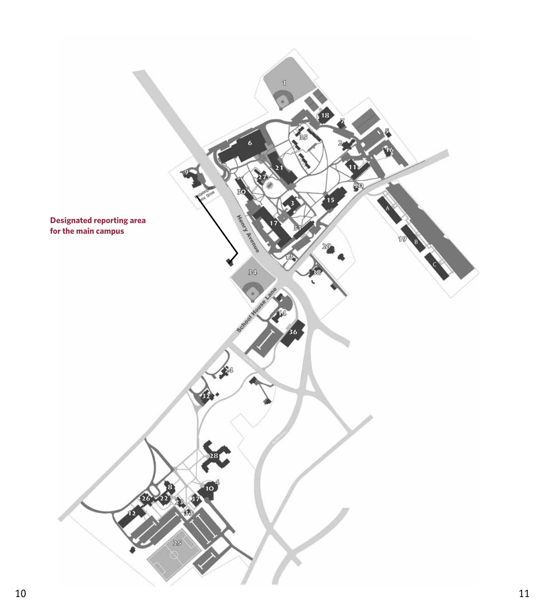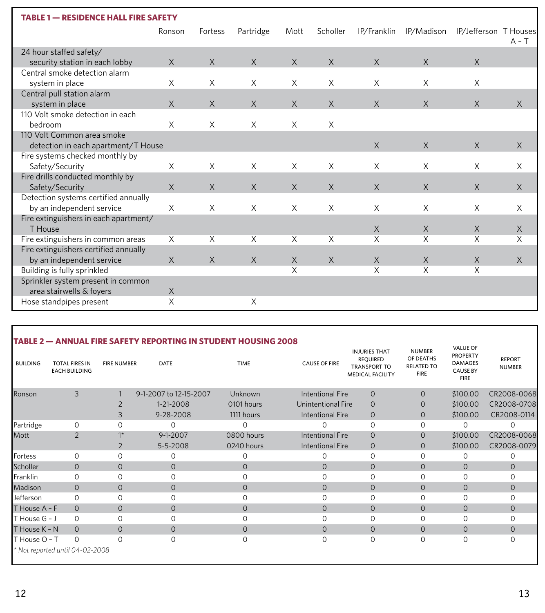| <b>RESIDENCE HALL FIRE SAFETY</b><br><b>TABLE 1</b> |             |          |           |          |          |             |            |                       |          |  |
|-----------------------------------------------------|-------------|----------|-----------|----------|----------|-------------|------------|-----------------------|----------|--|
|                                                     | Ronson      | Fortess  | Partridge | Mott     | Scholler | IP/Franklin | IP/Madison | IP/Jefferson T Houses | $A - T$  |  |
| 24 hour staffed safety/                             |             |          |           |          |          |             |            |                       |          |  |
| security station in each lobby                      | $\times$    | $\times$ | $\times$  | $\times$ | $\times$ | X           | X          | $\times$              |          |  |
| Central smoke detection alarm                       |             |          |           |          |          |             |            |                       |          |  |
| system in place                                     | X           | X        | X         | X        | X        | X           | X          | X                     |          |  |
| Central pull station alarm                          |             |          |           |          |          |             |            |                       |          |  |
| system in place                                     | $\times$    | $\times$ | $\times$  | $\times$ | $\times$ | $\times$    | X          | $\times$              | $\times$ |  |
| 110 Volt smoke detection in each                    |             |          |           |          |          |             |            |                       |          |  |
| bedroom                                             | X           | $\times$ | $\times$  | X        | $\times$ |             |            |                       |          |  |
| 110 Volt Common area smoke                          |             |          |           |          |          |             |            |                       |          |  |
| detection in each apartment/T House                 |             |          |           |          |          | X           | $\times$   | X                     | $\times$ |  |
| Fire systems checked monthly by                     |             |          |           |          |          |             |            |                       |          |  |
| Safety/Security                                     | X           | X        | X         | X        | $\times$ | X           | X          | X                     | X        |  |
| Fire drills conducted monthly by                    |             |          |           |          |          |             |            |                       |          |  |
| Safety/Security                                     | $\times$    | $\times$ | $\times$  | $\times$ | $\times$ | X           | X          | $\times$              | $\times$ |  |
| Detection systems certified annually                |             |          |           |          |          |             |            |                       |          |  |
| by an independent service                           | X           | X        | X         | X        | $\times$ | $\times$    | X          | X                     | $\times$ |  |
| Fire extinguishers in each apartment/               |             |          |           |          |          |             |            |                       |          |  |
| T House                                             |             |          |           |          |          | $\times$    | $\times$   | $\times$              | $\times$ |  |
| Fire extinguishers in common areas                  | X           | X        | X         | X        | $\times$ | X           | X          | X                     | X        |  |
| Fire extinguishers certified annually               |             |          |           |          |          |             |            |                       |          |  |
| by an independent service                           | $\times$    | $\times$ | $\times$  | $\times$ | $\times$ | $\times$    | X          | X                     | $\times$ |  |
| Building is fully sprinkled                         |             |          |           | X        |          | X           | X          | X                     |          |  |
| Sprinkler system present in common                  |             |          |           |          |          |             |            |                       |          |  |
| area stairwells & foyers                            | $\mathsf X$ |          |           |          |          |             |            |                       |          |  |
| Hose standpipes present                             | X           |          | X         |          |          |             |            |                       |          |  |

| <b>BUILDING</b> | <b>TOTAL FIRES IN</b><br><b>EACH BUILDING</b> | <b>FIRE NUMBER</b> | <b>DATE</b>            | <b>TIME</b>  | <b>CAUSE OF FIRE</b> | <b>INJURIES THAT</b><br><b>REOUIRED</b><br><b>TRANSPORT TO</b><br><b>MEDICAL FACILITY</b> | <b>NUMBER</b><br>OF DEATHS<br><b>RELATED TO</b><br><b>FIRE</b> | <b>VALUE OF</b><br><b>PROPERTY</b><br><b>DAMAGES</b><br><b>CAUSE BY</b><br><b>FIRE</b> | <b>REPORT</b><br><b>NUMBER</b> |
|-----------------|-----------------------------------------------|--------------------|------------------------|--------------|----------------------|-------------------------------------------------------------------------------------------|----------------------------------------------------------------|----------------------------------------------------------------------------------------|--------------------------------|
| Ronson          | 3                                             |                    | 9-1-2007 to 12-15-2007 | Unknown      | Intentional Fire     | $\circ$                                                                                   | $\mathbf{O}$                                                   | \$100.00                                                                               | CR2008-0068                    |
|                 |                                               | 2                  | 1-21-2008              | 0101 hours   | Unintentional Fire   | $\Omega$                                                                                  | $\mathcal{O}$                                                  | \$100.00                                                                               | CR2008-0708                    |
|                 |                                               | 3                  | 9-28-2008              | 1111 hours   | Intentional Fire     | $\mathcal{O}$                                                                             | 0                                                              | \$100.00                                                                               | CR2008-0114                    |
| Partridge       | 0                                             | $\Omega$           | $\Omega$               | $\Omega$     | O                    | 0                                                                                         | 0                                                              | 0                                                                                      | Ω                              |
| Mott            | $\overline{2}$                                | $1^*$              | $9-1-2007$             | 0800 hours   | Intentional Fire     | $\Omega$                                                                                  | $\mathcal{O}$                                                  | \$100.00                                                                               | CR2008-0068                    |
|                 |                                               | $\overline{2}$     | 5-5-2008               | 0240 hours   | Intentional Fire     | $\circ$                                                                                   | $\mathcal{O}$                                                  | \$100.00                                                                               | CR2008-0079                    |
| Fortess         | $\Omega$                                      | $\Omega$           | 0                      | $\Omega$     | 0                    | $\Omega$                                                                                  | 0                                                              | 0                                                                                      | Ω                              |
| Scholler        | $\Omega$                                      | $\circ$            | $\Omega$               | $\Omega$     | $\mathbf{O}$         | $\overline{O}$                                                                            | $\overline{0}$                                                 | $\overline{0}$                                                                         | $\Omega$                       |
| Franklin        | $\circ$                                       | $\circ$            | 0                      | $\Omega$     | $\circ$              | $\mathbf 0$                                                                               | 0                                                              | 0                                                                                      | 0                              |
| Madison         | $\Omega$                                      | $\overline{O}$     | $\mathbf{O}$           | $\mathbf{O}$ | $\mathbf{O}$         | $\overline{O}$                                                                            | $\overline{O}$                                                 | $\overline{O}$                                                                         | $\Omega$                       |
| Jefferson       | $\Omega$                                      | $\circ$            | $\Omega$               | $\Omega$     | 0                    | $\Omega$                                                                                  | 0                                                              | 0                                                                                      | 0                              |
| T House A - F   | $\Omega$                                      | $\circ$            | $\mathbf{O}$           | $\mathbf{O}$ | $\mathbf{O}$         | $\overline{O}$                                                                            | $\mathcal{O}$                                                  | $\mathbf{0}$                                                                           | $\Omega$                       |
| T House G - J   | $\Omega$                                      | $\mathbf 0$        | 0                      | $\Omega$     | $\circ$              | $\Omega$                                                                                  | 0                                                              | $\circ$                                                                                | 0                              |
| T House K - N   | $\Omega$                                      | $\circ$            | $\mathbf{O}$           | $\mathbf{O}$ | $\circ$              | $\overline{O}$                                                                            | $\overline{O}$                                                 | $\overline{O}$                                                                         | $\mathcal{O}$                  |
| T House O - T   | $\Omega$                                      | $\Omega$           | $\Omega$               | $\Omega$     | $\circ$              | $\circ$                                                                                   | 0                                                              | $\circ$                                                                                | O                              |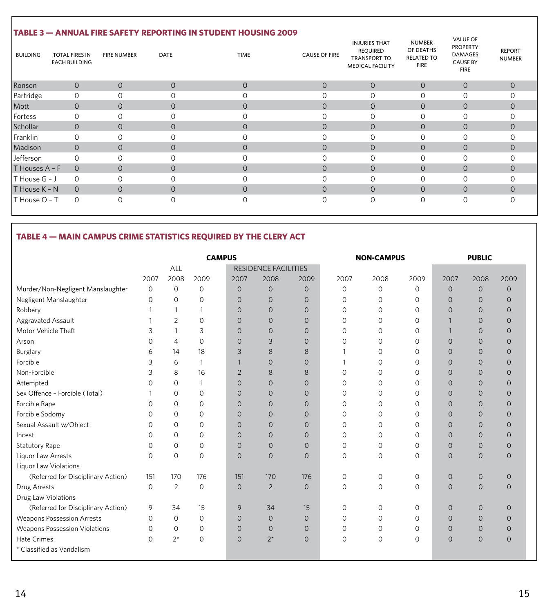#### **TABLE 3 — ANNUAL FIRE SAFETY REPORTING IN STUDENT HOUSING 2009** Ronson 0 0 0 0 0 0 0 0 0 Partridge 0 0 0 0 0 0 0 0 0 Mott 0 0 0 0 0 0 0 0 0 0 0 Fortess 0 0 0 0 0 0 0 0 0 Schollar 0 0 0 0 0 0 0 0 0 Franklin 0 0 0 0 0 0 0 0 0 0 0 Madison 0 0 0 0 0 0 0 0 0 Jefferson 0 0 0 0 0 0 0 0 0 T Houses A – F 0 0 0 0 0 0 0 0 0 T House G – J 0 0 0 0 0 0 0 0 0 T House K – N 0 0 0 0 0 0 0 T House O – T 0 0 0 0 0 0 0 0 0 BUILDING TOTAL FIRES IN FIRE NUMBER DATE INJURIES THAT REQUIRED TRANSPORT TO MEDICAL FACILITY EACH BUILDING TIME NUMBER OF DEATHS RELATED TO FIRE FIRE NUMBER DATE DATE TIME TIME CAUSE OF FIRE VALUE OF PROPERTY DAMAGES CAUSE BY FIRE REPORT NUMBER

### **TABLE 4 — MAIN CAMPUS CRIME STATISTICS REQUIRED BY THE CLERY ACT**

|                                      | <b>CAMPUS</b> |              |              |                |                             |                | <b>NON-CAMPUS</b> |          |          | <b>PUBLIC</b>  |                |                |
|--------------------------------------|---------------|--------------|--------------|----------------|-----------------------------|----------------|-------------------|----------|----------|----------------|----------------|----------------|
|                                      |               | ALL          |              |                | <b>RESIDENCE FACILITIES</b> |                |                   |          |          |                |                |                |
|                                      | 2007          | 2008         | 2009         | 2007           | 2008                        | 2009           | 2007              | 2008     | 2009     | 2007           | 2008           | 2009           |
| Murder/Non-Negligent Manslaughter    | $\circ$       | $\circ$      | $\mathbf 0$  | $\mathbf{O}$   | $\mathbf{O}$                | $\overline{O}$ | 0                 | 0        | $\circ$  | $\overline{0}$ | $\overline{O}$ | $\overline{0}$ |
| Negligent Manslaughter               | $\Omega$      | $\Omega$     | $\Omega$     | $\Omega$       | $\Omega$                    | $\mathbf 0$    | 0                 | 0        | $\Omega$ | $\Omega$       | $\mathbf{0}$   | $\overline{0}$ |
| Robbery                              |               | $\mathbf{1}$ | 1            | $\mathbf{O}$   | $\mathbf{O}$                | $\overline{0}$ | 0                 | $\Omega$ | $\Omega$ | $\Omega$       | $\overline{O}$ | $\overline{0}$ |
| Aggravated Assault                   |               | 2            | $\Omega$     | $\Omega$       | $\Omega$                    | $\Omega$       | 0                 | 0        | $\Omega$ |                | $\circ$        | $\mathbf{0}$   |
| Motor Vehicle Theft                  | 3             |              | 3            | $\Omega$       | $\mathbf{O}$                | $\mathbf 0$    | 0                 | 0        | $\Omega$ | $\mathbf{1}$   | $\overline{0}$ | $\mathbf{0}$   |
| Arson                                | $\Omega$      | 4            | $\Omega$     | $\Omega$       | 3                           | $\Omega$       | 0                 | 0        | $\Omega$ | $\Omega$       | $\overline{O}$ | $\circ$        |
| Burglary                             | 6             | 14           | 18           | 3              | 8                           | 8              |                   | $\Omega$ | $\circ$  | $\Omega$       | $\mathbf 0$    | $\mathbf 0$    |
| Forcible                             | 3             | 6            | $\mathbf{1}$ |                | $\Omega$                    | $\Omega$       | $\mathbf{1}$      | $\Omega$ | $\Omega$ | $\Omega$       | $\mathbf 0$    | $\mathbf 0$    |
| Non-Forcible                         | 3             | 8            | 16           | $\overline{2}$ | 8                           | 8              | 0                 | 0        | $\circ$  | $\Omega$       | $\mathbf 0$    | $\mathbf 0$    |
| Attempted                            | $\Omega$      | 0            |              | $\mathbf{O}$   | $\mathbf{O}$                | 0              | 0                 | 0        | 0        | $\Omega$       | $\overline{O}$ | $\overline{O}$ |
| Sex Offence - Forcible (Total)       |               | $\circ$      | $\circ$      | $\mathbf{O}$   | $\mathbf{O}$                | 0              | 0                 | 0        | 0        | $\mathbf 0$    | $\overline{O}$ | $\overline{0}$ |
| Forcible Rape                        | $\Omega$      | 0            | 0            | $\mathbf{O}$   | 0                           | 0              | 0                 | 0        | 0        | $\Omega$       | $\overline{O}$ | $\circ$        |
| Forcible Sodomy                      | $\Omega$      | $\Omega$     | $\Omega$     | $\Omega$       | $\Omega$                    | $\Omega$       | 0                 | $\Omega$ | $\Omega$ | $\Omega$       | $\circ$        | $\mathbf{0}$   |
| Sexual Assault w/Object              | $\Omega$      | $\Omega$     | $\Omega$     | $\Omega$       | $\Omega$                    | $\Omega$       | 0                 | 0        | $\Omega$ | $\Omega$       | $\circ$        | $\circ$        |
| Incest                               | $\Omega$      | $\Omega$     | $\Omega$     | $\mathbf{O}$   | $\Omega$                    | $\overline{0}$ | 0                 | $\Omega$ | $\Omega$ | $\Omega$       | $\circ$        | $\mathbf{0}$   |
| <b>Statutory Rape</b>                | $\Omega$      | 0            | 0            | $\overline{0}$ | $\mathsf{O}$                | $\overline{0}$ | 0                 | 0        | $\Omega$ | $\Omega$       | $\mathbf 0$    | $\mathbf 0$    |
| Liquor Law Arrests                   | $\Omega$      | $\Omega$     | $\Omega$     | $\Omega$       | $\Omega$                    | $\Omega$       | $\circ$           | $\Omega$ | $\Omega$ | $\Omega$       | $\overline{O}$ | $\overline{0}$ |
| Liquor Law Violations                |               |              |              |                |                             |                |                   |          |          |                |                |                |
| (Referred for Disciplinary Action)   | 151           | 170          | 176          | 151            | 170                         | 176            | 0                 | 0        | 0        | $\overline{0}$ | 0              | $\overline{0}$ |
| Drug Arrests                         | $\circ$       | 2            | $\mathbf 0$  | $\mathbf{O}$   | $\overline{2}$              | $\overline{O}$ | $\circ$           | 0        | 0        | $\overline{0}$ | $\overline{0}$ | $\overline{0}$ |
| Drug Law Violations                  |               |              |              |                |                             |                |                   |          |          |                |                |                |
| (Referred for Disciplinary Action)   | 9             | 34           | 15           | 9              | 34                          | 15             | 0                 | 0        | $\circ$  | $\overline{0}$ | $\mathbf 0$    | $\mathbf 0$    |
| <b>Weapons Possession Arrests</b>    | $\Omega$      | $\Omega$     | $\Omega$     | $\Omega$       | $\Omega$                    | $\Omega$       | 0                 | $\Omega$ | $\Omega$ | $\Omega$       | $\overline{O}$ | $\overline{0}$ |
| <b>Weapons Possession Violations</b> | $\Omega$      | $\circ$      | $\circ$      | $\mathbf{O}$   | $\mathbf{O}$                | $\overline{0}$ | 0                 | 0        | $\circ$  | $\overline{0}$ | $\mathbf 0$    | $\mathbf 0$    |
| Hate Crimes                          | $\Omega$      | $2^{\star}$  | $\circ$      | $\Omega$       | $2^{\star}$                 | $\overline{O}$ | 0                 | 0        | $\circ$  | $\overline{0}$ | $\overline{O}$ | $\overline{O}$ |
| * Classified as Vandalism            |               |              |              |                |                             |                |                   |          |          |                |                |                |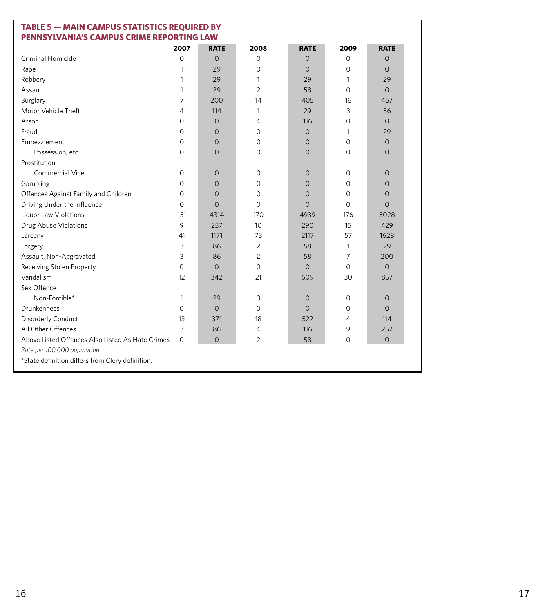| <b>TABLE 5 - MAIN CAMPUS STATISTICS REQUIRED BY</b><br>PENNSYLVANIA'S CAMPUS CRIME REPORTING LAW |                |                |                 |                |                |                |  |  |
|--------------------------------------------------------------------------------------------------|----------------|----------------|-----------------|----------------|----------------|----------------|--|--|
|                                                                                                  | 2007           | <b>RATE</b>    | 2008            | <b>RATE</b>    | 2009           | <b>RATE</b>    |  |  |
| Criminal Homicide                                                                                | $\mathbf 0$    | $\overline{0}$ | $\Omega$        | $\Omega$       | $\Omega$       | $\Omega$       |  |  |
| Rape                                                                                             | 1              | 29             | $\Omega$        | $\Omega$       | $\Omega$       | $\Omega$       |  |  |
| Robbery                                                                                          | 1              | 29             | 1               | 29             | 1              | 29             |  |  |
| Assault                                                                                          | 1              | 29             | $\overline{2}$  | 58             | $\Omega$       | $\Omega$       |  |  |
| Burglary                                                                                         | $\overline{7}$ | 200            | 14              | 405            | 16             | 457            |  |  |
| Motor Vehicle Theft                                                                              | 4              | 114            | 1               | 29             | 3              | 86             |  |  |
| Arson                                                                                            | 0              | $\overline{0}$ | 4               | 116            | $\Omega$       | $\Omega$       |  |  |
| Fraud                                                                                            | 0              | $\overline{0}$ | $\mathbf 0$     | $\overline{0}$ | 1              | 29             |  |  |
| Embezzlement                                                                                     | 0              | $\Omega$       | $\Omega$        | $\overline{0}$ | $\Omega$       | $\Omega$       |  |  |
| Possession, etc.                                                                                 | $\Omega$       | $\Omega$       | $\Omega$        | $\Omega$       | $\Omega$       | $\Omega$       |  |  |
| Prostitution                                                                                     |                |                |                 |                |                |                |  |  |
| Commercial Vice                                                                                  | $\circ$        | $\mathbf 0$    | $\circ$         | $\overline{0}$ | $\Omega$       | $\circ$        |  |  |
| Gambling                                                                                         | 0              | $\overline{0}$ | $\mathbf 0$     | $\mathbf{0}$   | $\Omega$       | 0              |  |  |
| Offences Against Family and Children                                                             | 0              | $\overline{0}$ | $\mathbf 0$     | $\overline{0}$ | $\circ$        | $\overline{0}$ |  |  |
| Driving Under the Influence                                                                      | $\Omega$       | $\Omega$       | $\Omega$        | $\Omega$       | $\Omega$       | $\Omega$       |  |  |
| Liquor Law Violations                                                                            | 151            | 4314           | 170             | 4939           | 176            | 5028           |  |  |
| Drug Abuse Violations                                                                            | 9              | 257            | 10 <sup>2</sup> | 290            | 15             | 429            |  |  |
| Larceny                                                                                          | 41             | 1171           | 73              | 2117           | 57             | 1628           |  |  |
| Forgery                                                                                          | 3              | 86             | 2               | 58             | $\mathbf{1}$   | 29             |  |  |
| Assault, Non-Aggravated                                                                          | 3              | 86             | $\overline{2}$  | 58             | $\overline{7}$ | 200            |  |  |
| Receiving Stolen Property                                                                        | $\mathbf 0$    | $\overline{0}$ | $\circ$         | $\Omega$       | $\Omega$       | $\Omega$       |  |  |
| Vandalism                                                                                        | 12             | 342            | 21              | 609            | 30             | 857            |  |  |
| Sex Offence                                                                                      |                |                |                 |                |                |                |  |  |
| Non-Forcible*                                                                                    | 1              | 29             | $\Omega$        | $\mathbf{0}$   | $\Omega$       | $\circ$        |  |  |
| Drunkenness                                                                                      | $\Omega$       | $\Omega$       | $\Omega$        | $\Omega$       | $\Omega$       | $\Omega$       |  |  |
| Disorderly Conduct                                                                               | 13             | 371            | 18              | 522            | $\overline{4}$ | 114            |  |  |
| All Other Offences                                                                               | 3              | 86             | 4               | 116            | 9              | 257            |  |  |
| Above Listed Offences Also Listed As Hate Crimes                                                 | $\Omega$       | $\Omega$       | 2               | 58             | $\Omega$       | $\Omega$       |  |  |
| Rate per 100,000 population.                                                                     |                |                |                 |                |                |                |  |  |
| *State definition differs from Clery definition.                                                 |                |                |                 |                |                |                |  |  |
|                                                                                                  |                |                |                 |                |                |                |  |  |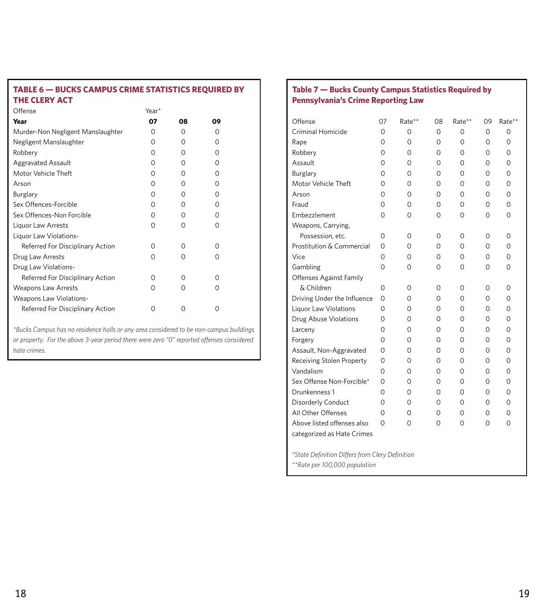#### **TABLE 6 — BUCKS CAMPUS CRIME STATISTICS REQUIRED BY THE CLERY ACT**

| Offense                           | Year*    |          |          |  |
|-----------------------------------|----------|----------|----------|--|
| Year                              | 07       | 08       | 09       |  |
| Murder-Non Negligent Manslaughter | O        | O        | O        |  |
| Negligent Manslaughter            | O        | O        | O        |  |
| Robbery                           | $\Omega$ | O        | O        |  |
| <b>Aggravated Assault</b>         | $\Omega$ | O        | $\Omega$ |  |
| Motor Vehicle Theft               | $\Omega$ | $\Omega$ | O        |  |
| Arson                             | $\Omega$ | $\Omega$ | O        |  |
| Burglary                          | $\Omega$ | $\Omega$ | O        |  |
| Sex Offences-Forcible             | $\Omega$ | O        | O        |  |
| Sex Offences-Non Forcible         | $\Omega$ | $\Omega$ | O        |  |
| Liquor Law Arrests                | O        | O        | O        |  |
| Liquor Law Violations-            |          |          |          |  |
| Referred For Disciplinary Action  | 0        | $\Omega$ | O        |  |
| Drug Law Arrests                  | $\Omega$ | $\Omega$ | O        |  |
| Drug Law Violations-              |          |          |          |  |
| Referred For Disciplinary Action  | O        | $\Omega$ | ∩        |  |
| <b>Weapons Law Arrests</b>        | O        | $\Omega$ | O        |  |
| <b>Weapons Law Violations-</b>    |          |          |          |  |
| Referred For Disciplinary Action  | Ω        | Ω        | Ω        |  |

*\*Bucks Campus has no residence halls or any area considered to be non-campus buildings or property. For the above 3-year period there were zero "0" reported offenses considered hate crimes.*

#### **Table 7 — Bucks County Campus Statistics Required by Pennsylvania's Crime Reporting Law**

| Offense                       | 07                                              | Rate**      | 08       | Rate**      | 09       | Rate**      |  |  |  |
|-------------------------------|-------------------------------------------------|-------------|----------|-------------|----------|-------------|--|--|--|
| Criminal Homicide             | $\mathbf 0$                                     | 0           | $\Omega$ | $\Omega$    | $\circ$  | $\mathbf 0$ |  |  |  |
| Rape                          | 0                                               | 0           | 0        | $\Omega$    | $\Omega$ | $\Omega$    |  |  |  |
| Robbery                       | 0                                               | 0           | 0        | 0           | 0        | $\mathbf 0$ |  |  |  |
| Assault                       | 0                                               | 0           | 0        | $\Omega$    | 0        | 0           |  |  |  |
| Burglary                      | 0                                               | 0           | $\Omega$ | $\Omega$    | $\Omega$ | $\mathbf 0$ |  |  |  |
| Motor Vehicle Theft           | 0                                               | 0           | 0        | 0           | 0        | 0           |  |  |  |
| Arson                         | 0                                               | 0           | 0        | $\mathbf 0$ | 0        | $\mathbf 0$ |  |  |  |
| Fraud                         | 0                                               | $\mathbf 0$ | 0        | $\circ$     | 0        | $\mathbf 0$ |  |  |  |
| Embezzlement                  | 0                                               | $\mathbf 0$ | $\Omega$ | $\Omega$    | $\Omega$ | 0           |  |  |  |
| Weapons, Carrying,            |                                                 |             |          |             |          |             |  |  |  |
| Possession, etc.              | 0                                               | 0           | 0        | 0           | 0        | 0           |  |  |  |
| Prostitution & Commercial     | 0                                               | 0           | $\Omega$ | $\Omega$    | $\Omega$ | 0           |  |  |  |
| Vice                          | 0                                               | 0           | $\Omega$ | $\Omega$    | $\Omega$ | 0           |  |  |  |
| Gambling                      | $\mathbf 0$                                     | 0           | 0        | 0           | 0        | 0           |  |  |  |
| Offenses Against Family       |                                                 |             |          |             |          |             |  |  |  |
| & Children                    | $\mathbf 0$                                     | 0           | 0        | 0           | 0        | 0           |  |  |  |
| Driving Under the Influence   | 0                                               | 0           | 0        | 0           | 0        | 0           |  |  |  |
| Liquor Law Violations         | 0                                               | 0           | 0        | 0           | 0        | 0           |  |  |  |
| Drug Abuse Violations         | $\mathbf 0$                                     | 0           | $\Omega$ | $\Omega$    | 0        | 0           |  |  |  |
| Larceny                       | 0                                               | 0           | $\Omega$ | $\Omega$    | 0        | 0           |  |  |  |
| Forgery                       | 0                                               | 0           | 0        | 0           | 0        | 0           |  |  |  |
| Assault, Non-Aggravated       | 0                                               | 0           | 0        | 0           | 0        | 0           |  |  |  |
| Receiving Stolen Property     | $\mathbf 0$                                     | 0           | $\Omega$ | $\Omega$    | 0        | 0           |  |  |  |
| Vandalism                     | 0                                               | 0           | 0        | 0           | 0        | 0           |  |  |  |
| Sex Offense Non-Forcible*     | 0                                               | 0           | 0        | 0           | 0        | 0           |  |  |  |
| Drunkenness 1                 | 0                                               | 0           | $\Omega$ | 0           | 0        | 0           |  |  |  |
| Disorderly Conduct            | 0                                               | 0           | $\Omega$ | $\Omega$    | $\Omega$ | $\mathbf 0$ |  |  |  |
| All Other Offenses            | 0                                               | 0           | 0        | 0           | 0        | $\mathbf 0$ |  |  |  |
| Above listed offenses also    | 0                                               | 0           | 0        | 0           | 0        | 0           |  |  |  |
| categorized as Hate Crimes    |                                                 |             |          |             |          |             |  |  |  |
|                               | *State Definition Differs from Clery Definition |             |          |             |          |             |  |  |  |
| **Rate per 100,000 population |                                                 |             |          |             |          |             |  |  |  |